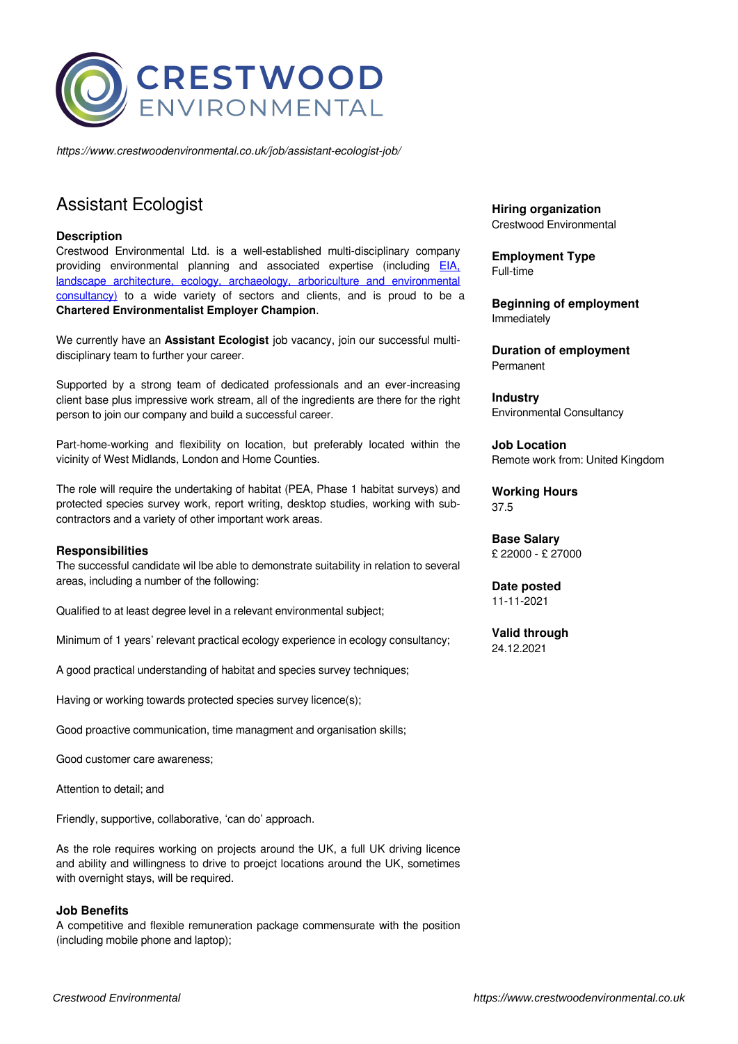

*https://www.crestwoodenvironmental.co.uk/job/assistant-ecologist-job/*

# Assistant Ecologist

### **Description**

Crestwood Environmental Ltd. is a well-established multi-disciplinary company providing environmental planning and associated expertise (including **EIA**, [landscape architecture, ecology, archaeology, arboriculture and environmental](https://www.crestwoodenvironmental.co.uk/services/) [consultancy\)](https://www.crestwoodenvironmental.co.uk/services/) to a wide variety of sectors and clients, and is proud to be a **Chartered Environmentalist Employer Champion**.

We currently have an **Assistant Ecologist** job vacancy, join our successful multidisciplinary team to further your career.

Supported by a strong team of dedicated professionals and an ever-increasing client base plus impressive work stream, all of the ingredients are there for the right person to join our company and build a successful career.

Part-home-working and flexibility on location, but preferably located within the vicinity of West Midlands, London and Home Counties.

The role will require the undertaking of habitat (PEA, Phase 1 habitat surveys) and protected species survey work, report writing, desktop studies, working with subcontractors and a variety of other important work areas.

#### **Responsibilities**

The successful candidate wil lbe able to demonstrate suitability in relation to several areas, including a number of the following:

Qualified to at least degree level in a relevant environmental subject;

Minimum of 1 years' relevant practical ecology experience in ecology consultancy;

A good practical understanding of habitat and species survey techniques;

Having or working towards protected species survey licence(s);

Good proactive communication, time managment and organisation skills;

Good customer care awareness;

Attention to detail; and

Friendly, supportive, collaborative, 'can do' approach.

As the role requires working on projects around the UK, a full UK driving licence and ability and willingness to drive to proejct locations around the UK, sometimes with overnight stays, will be required.

#### **Job Benefits**

A competitive and flexible remuneration package commensurate with the position (including mobile phone and laptop);

**Hiring organization** Crestwood Environmental

**Employment Type** Full-time

**Beginning of employment** Immediately

**Duration of employment** Permanent

**Industry** Environmental Consultancy

**Job Location** Remote work from: United Kingdom

**Working Hours** 37.5

**Base Salary** £ 22000 - £ 27000

**Date posted** 11-11-2021

**Valid through** 24.12.2021